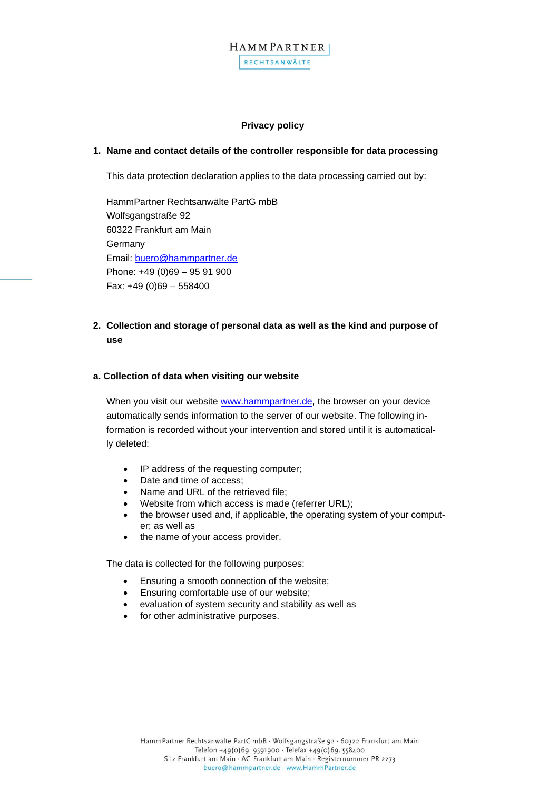

#### **Privacy policy**

#### **1. Name and contact details of the controller responsible for data processing**

This data protection declaration applies to the data processing carried out by:

HammPartner Rechtsanwälte PartG mbB Wolfsgangstraße 92 60322 Frankfurt am Main Germany Email: [buero@hammpartner.de](mailto:buero@hammpartner.de) Phone: +49 (0)69 – 95 91 900 Fax: +49 (0)69 – 558400

**2. Collection and storage of personal data as well as the kind and purpose of use** 

#### **a. Collection of data when visiting our website**

When you visit our website [www.hammpartner.de,](http://www.hammpartner.de/) the browser on your device automatically sends information to the server of our website. The following information is recorded without your intervention and stored until it is automatically deleted:

- IP address of the requesting computer;
- Date and time of access;
- Name and URL of the retrieved file;
- Website from which access is made (referrer URL);
- the browser used and, if applicable, the operating system of your computer; as well as
- the name of your access provider.

The data is collected for the following purposes:

- Ensuring a smooth connection of the website;
- Ensuring comfortable use of our website;
- evaluation of system security and stability as well as
- for other administrative purposes.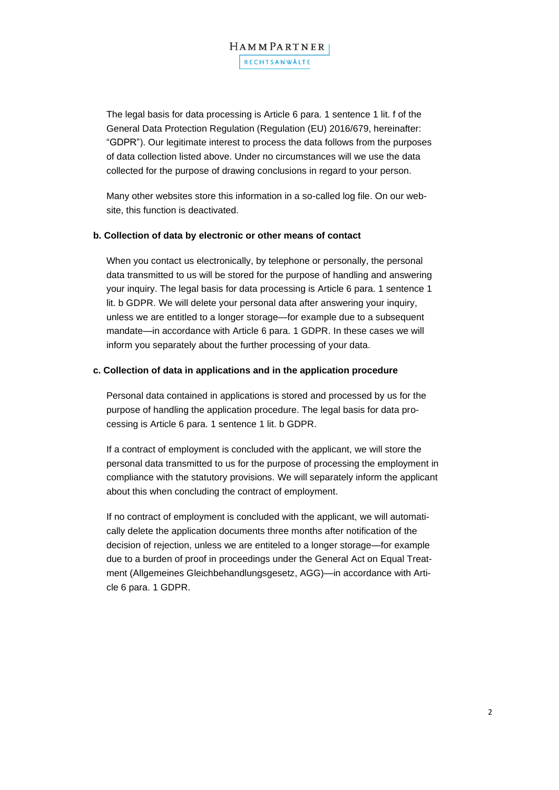# HAMMPARTNER RECHTSANWÄLTE

The legal basis for data processing is Article 6 para. 1 sentence 1 lit. f of the General Data Protection Regulation (Regulation (EU) 2016/679, hereinafter: "GDPR"). Our legitimate interest to process the data follows from the purposes of data collection listed above. Under no circumstances will we use the data collected for the purpose of drawing conclusions in regard to your person.

Many other websites store this information in a so-called log file. On our website, this function is deactivated.

#### **b. Collection of data by electronic or other means of contact**

When you contact us electronically, by telephone or personally, the personal data transmitted to us will be stored for the purpose of handling and answering your inquiry. The legal basis for data processing is Article 6 para. 1 sentence 1 lit. b GDPR. We will delete your personal data after answering your inquiry, unless we are entitled to a longer storage—for example due to a subsequent mandate—in accordance with Article 6 para. 1 GDPR. In these cases we will inform you separately about the further processing of your data.

#### **c. Collection of data in applications and in the application procedure**

Personal data contained in applications is stored and processed by us for the purpose of handling the application procedure. The legal basis for data processing is Article 6 para. 1 sentence 1 lit. b GDPR.

If a contract of employment is concluded with the applicant, we will store the personal data transmitted to us for the purpose of processing the employment in compliance with the statutory provisions. We will separately inform the applicant about this when concluding the contract of employment.

If no contract of employment is concluded with the applicant, we will automatically delete the application documents three months after notification of the decision of rejection, unless we are entiteled to a longer storage—for example due to a burden of proof in proceedings under the General Act on Equal Treatment (Allgemeines Gleichbehandlungsgesetz, AGG)—in accordance with Article 6 para. 1 GDPR.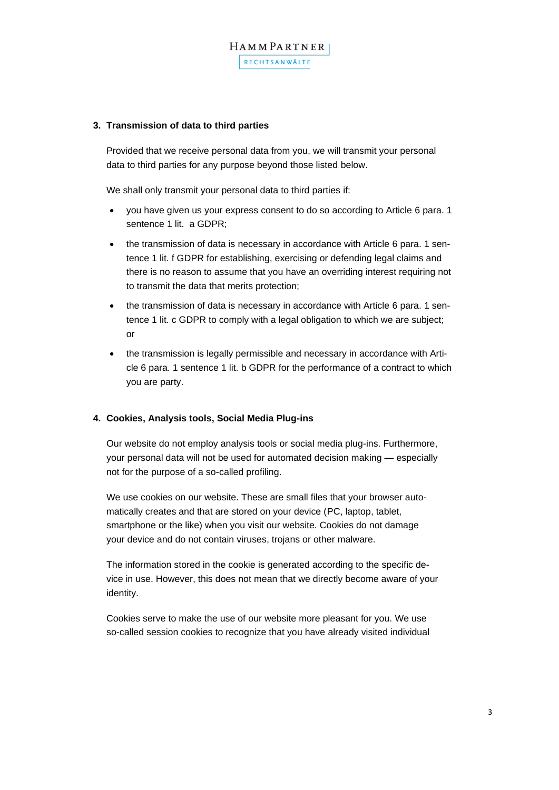

#### **3. Transmission of data to third parties**

Provided that we receive personal data from you, we will transmit your personal data to third parties for any purpose beyond those listed below.

We shall only transmit your personal data to third parties if:

- you have given us your express consent to do so according to Article 6 para. 1 sentence 1 lit. a GDPR:
- the transmission of data is necessary in accordance with Article 6 para. 1 sentence 1 lit. f GDPR for establishing, exercising or defending legal claims and there is no reason to assume that you have an overriding interest requiring not to transmit the data that merits protection;
- the transmission of data is necessary in accordance with Article 6 para. 1 sentence 1 lit. c GDPR to comply with a legal obligation to which we are subject; or
- the transmission is legally permissible and necessary in accordance with Article 6 para. 1 sentence 1 lit. b GDPR for the performance of a contract to which you are party.

#### **4. Cookies, Analysis tools, Social Media Plug-ins**

Our website do not employ analysis tools or social media plug-ins. Furthermore, your personal data will not be used for automated decision making — especially not for the purpose of a so-called profiling.

We use cookies on our website. These are small files that your browser automatically creates and that are stored on your device (PC, laptop, tablet, smartphone or the like) when you visit our website. Cookies do not damage your device and do not contain viruses, trojans or other malware.

The information stored in the cookie is generated according to the specific device in use. However, this does not mean that we directly become aware of your identity.

Cookies serve to make the use of our website more pleasant for you. We use so-called session cookies to recognize that you have already visited individual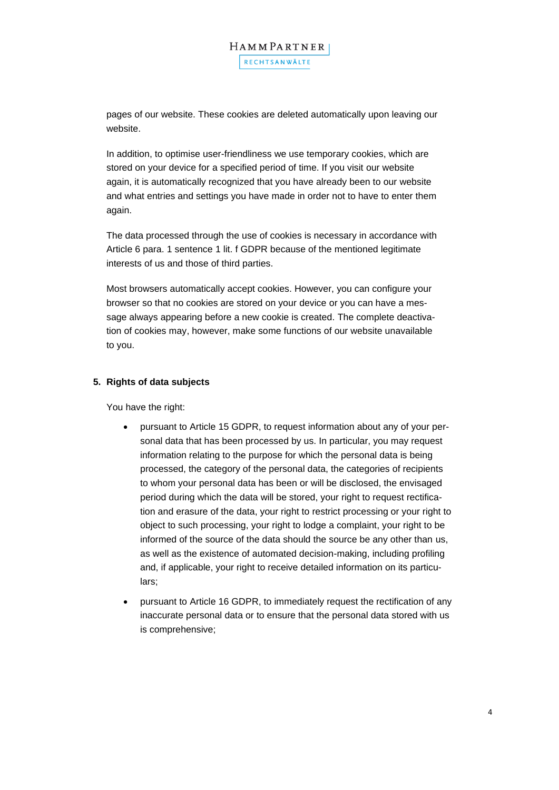pages of our website. These cookies are deleted automatically upon leaving our website.

In addition, to optimise user-friendliness we use temporary cookies, which are stored on your device for a specified period of time. If you visit our website again, it is automatically recognized that you have already been to our website and what entries and settings you have made in order not to have to enter them again.

The data processed through the use of cookies is necessary in accordance with Article 6 para. 1 sentence 1 lit. f GDPR because of the mentioned legitimate interests of us and those of third parties.

Most browsers automatically accept cookies. However, you can configure your browser so that no cookies are stored on your device or you can have a message always appearing before a new cookie is created. The complete deactivation of cookies may, however, make some functions of our website unavailable to you.

### **5. Rights of data subjects**

You have the right:

- pursuant to Article 15 GDPR, to request information about any of your personal data that has been processed by us. In particular, you may request information relating to the purpose for which the personal data is being processed, the category of the personal data, the categories of recipients to whom your personal data has been or will be disclosed, the envisaged period during which the data will be stored, your right to request rectification and erasure of the data, your right to restrict processing or your right to object to such processing, your right to lodge a complaint, your right to be informed of the source of the data should the source be any other than us, as well as the existence of automated decision-making, including profiling and, if applicable, your right to receive detailed information on its particulars;
- pursuant to Article 16 GDPR, to immediately request the rectification of any inaccurate personal data or to ensure that the personal data stored with us is comprehensive;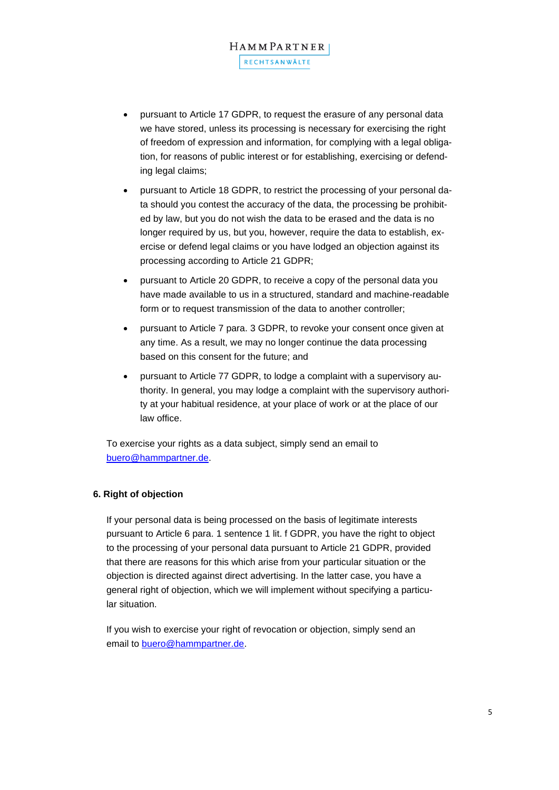- pursuant to Article 17 GDPR, to request the erasure of any personal data we have stored, unless its processing is necessary for exercising the right of freedom of expression and information, for complying with a legal obligation, for reasons of public interest or for establishing, exercising or defending legal claims;
- pursuant to Article 18 GDPR, to restrict the processing of your personal data should you contest the accuracy of the data, the processing be prohibited by law, but you do not wish the data to be erased and the data is no longer required by us, but you, however, require the data to establish, exercise or defend legal claims or you have lodged an objection against its processing according to Article 21 GDPR;
- pursuant to Article 20 GDPR, to receive a copy of the personal data you have made available to us in a structured, standard and machine-readable form or to request transmission of the data to another controller;
- pursuant to Article 7 para. 3 GDPR, to revoke your consent once given at any time. As a result, we may no longer continue the data processing based on this consent for the future; and
- pursuant to Article 77 GDPR, to lodge a complaint with a supervisory authority. In general, you may lodge a complaint with the supervisory authority at your habitual residence, at your place of work or at the place of our law office.

To exercise your rights as a data subject, simply send an email to [buero@hammpartner.de.](mailto:buero@hammpartner.de)

## **6. Right of objection**

If your personal data is being processed on the basis of legitimate interests pursuant to Article 6 para. 1 sentence 1 lit. f GDPR, you have the right to object to the processing of your personal data pursuant to Article 21 GDPR, provided that there are reasons for this which arise from your particular situation or the objection is directed against direct advertising. In the latter case, you have a general right of objection, which we will implement without specifying a particular situation.

If you wish to exercise your right of revocation or objection, simply send an email to **buero@hammpartner.de**.